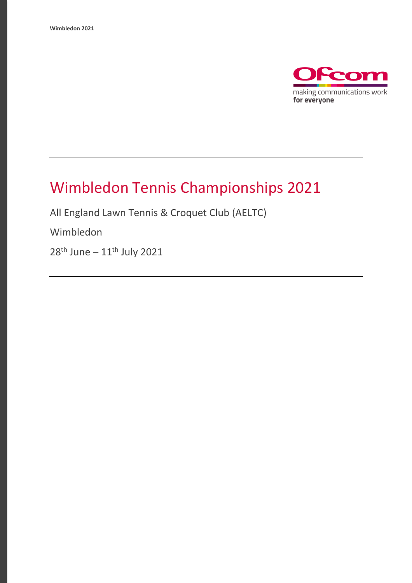

# Wimbledon Tennis Championships 2021

All England Lawn Tennis & Croquet Club (AELTC)

Wimbledon

28<sup>th</sup> June – 11<sup>th</sup> July 2021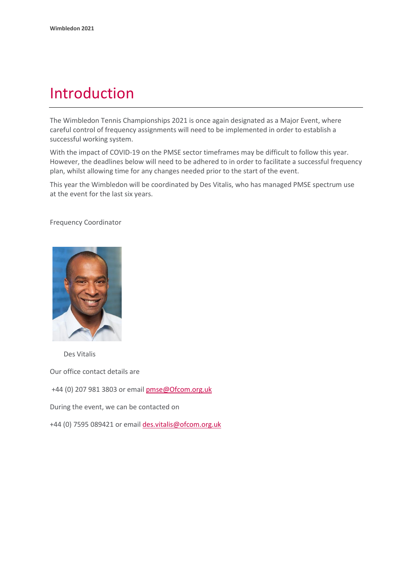## Introduction

The Wimbledon Tennis Championships 2021 is once again designated as a Major Event, where careful control of frequency assignments will need to be implemented in order to establish a successful working system.

With the impact of COVID-19 on the PMSE sector timeframes may be difficult to follow this year. However, the deadlines below will need to be adhered to in order to facilitate a successful frequency plan, whilst allowing time for any changes needed prior to the start of the event.

This year the Wimbledon will be coordinated by Des Vitalis, who has managed PMSE spectrum use at the event for the last six years.

Frequency Coordinator



Des Vitalis

Our office contact details are

+44 (0) 207 981 3803 or emai[l pmse@Ofcom.org.uk](mailto:pmse@arqiva.com)

During the event, we can be contacted on

+44 (0) 7595 089421 or email des.vitalis@ofcom.org.uk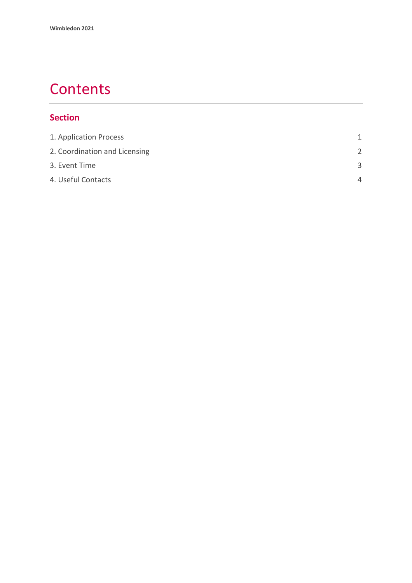# **Contents**

#### **Section**

| 1. Application Process        | 1             |
|-------------------------------|---------------|
| 2. Coordination and Licensing | $\mathcal{P}$ |
| 3. Event Time                 | ર             |
| 4. Useful Contacts            | $\Delta$      |
|                               |               |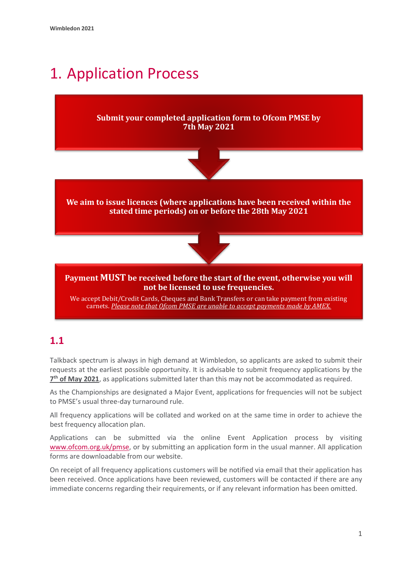# <span id="page-3-0"></span>1. Application Process

#### **Submit your completed application form to Ofcom PMSE by 7th May 2021**



**We aim to issue licences (where applications have been received within the stated time periods) on or before the 28th May 2021**



#### **Payment MUST be received before the start of the event, otherwise you will not be licensed to use frequencies.**

We accept Debit/Credit Cards, Cheques and Bank Transfers or can take payment from existing carnets. *Please note that Ofcom PMSE are unable to accept payments made by AMEX.*

## **1.1**

Talkback spectrum is always in high demand at Wimbledon, so applicants are asked to submit their requests at the earliest possible opportunity. It is advisable to submit frequency applications by the **7 th of May 2021**, as applications submitted later than this may not be accommodated as required.

As the Championships are designated a Major Event, applications for frequencies will not be subject to PMSE's usual three-day turnaround rule.

All frequency applications will be collated and worked on at the same time in order to achieve the best frequency allocation plan.

Applications can be submitted via the online Event Application process by visiting [www.ofcom.org.uk/pmse,](http://www.ofcom.org.uk/pmse) or by submitting an application form in the usual manner. All application forms are downloadable from our website.

On receipt of all frequency applications customers will be notified via email that their application has been received. Once applications have been reviewed, customers will be contacted if there are any immediate concerns regarding their requirements, or if any relevant information has been omitted.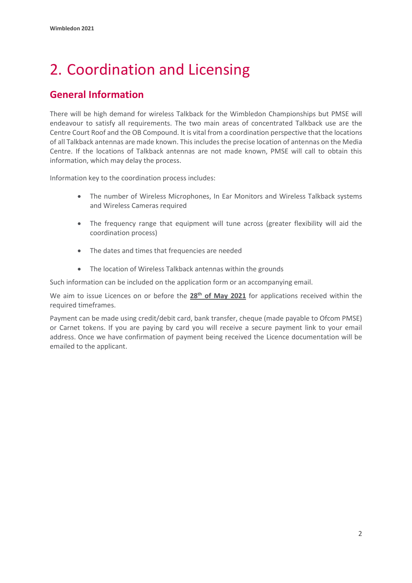# <span id="page-4-0"></span>2. Coordination and Licensing

## **General Information**

There will be high demand for wireless Talkback for the Wimbledon Championships but PMSE will endeavour to satisfy all requirements. The two main areas of concentrated Talkback use are the Centre Court Roof and the OB Compound. It is vital from a coordination perspective that the locations of all Talkback antennas are made known. This includes the precise location of antennas on the Media Centre. If the locations of Talkback antennas are not made known, PMSE will call to obtain this information, which may delay the process.

Information key to the coordination process includes:

- The number of Wireless Microphones, In Ear Monitors and Wireless Talkback systems and Wireless Cameras required
- The frequency range that equipment will tune across (greater flexibility will aid the coordination process)
- The dates and times that frequencies are needed
- The location of Wireless Talkback antennas within the grounds

Such information can be included on the application form or an accompanying email.

We aim to issue Licences on or before the **28th of May 2021** for applications received within the required timeframes.

Payment can be made using credit/debit card, bank transfer, cheque (made payable to Ofcom PMSE) or Carnet tokens. If you are paying by card you will receive a secure payment link to your email address. Once we have confirmation of payment being received the Licence documentation will be emailed to the applicant.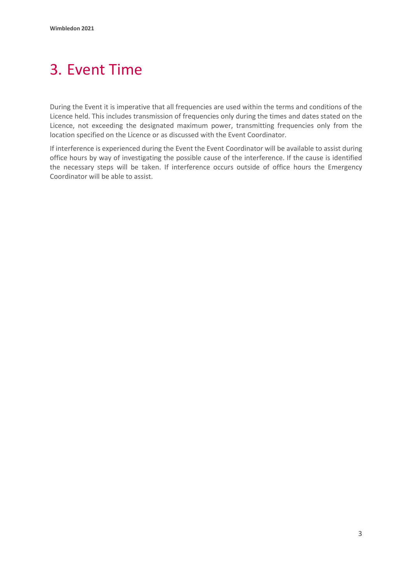# <span id="page-5-0"></span>3. Event Time

During the Event it is imperative that all frequencies are used within the terms and conditions of the Licence held. This includes transmission of frequencies only during the times and dates stated on the Licence, not exceeding the designated maximum power, transmitting frequencies only from the location specified on the Licence or as discussed with the Event Coordinator.

If interference is experienced during the Event the Event Coordinator will be available to assist during office hours by way of investigating the possible cause of the interference. If the cause is identified the necessary steps will be taken. If interference occurs outside of office hours the Emergency Coordinator will be able to assist.